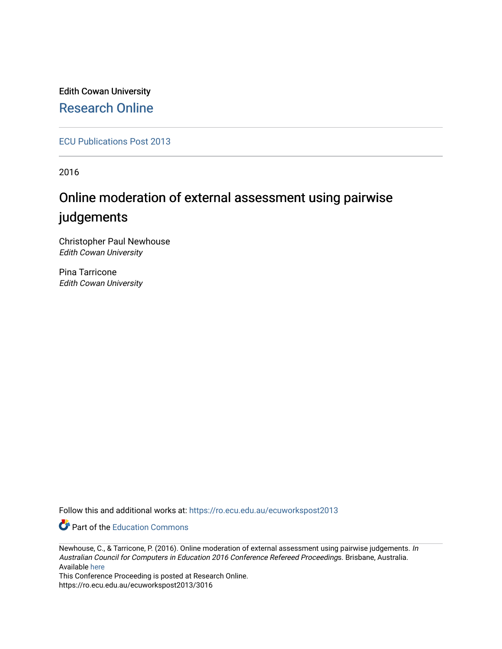Edith Cowan University [Research Online](https://ro.ecu.edu.au/) 

[ECU Publications Post 2013](https://ro.ecu.edu.au/ecuworkspost2013)

2016

# Online moderation of external assessment using pairwise judgements

Christopher Paul Newhouse Edith Cowan University

Pina Tarricone Edith Cowan University

Follow this and additional works at: [https://ro.ecu.edu.au/ecuworkspost2013](https://ro.ecu.edu.au/ecuworkspost2013?utm_source=ro.ecu.edu.au%2Fecuworkspost2013%2F3016&utm_medium=PDF&utm_campaign=PDFCoverPages) 

Part of the [Education Commons](http://network.bepress.com/hgg/discipline/784?utm_source=ro.ecu.edu.au%2Fecuworkspost2013%2F3016&utm_medium=PDF&utm_campaign=PDFCoverPages)

This Conference Proceeding is posted at Research Online. https://ro.ecu.edu.au/ecuworkspost2013/3016

Newhouse, C., & Tarricone, P. (2016). Online moderation of external assessment using pairwise judgements. In Australian Council for Computers in Education 2016 Conference Refereed Proceedings. Brisbane, Australia. Available [here](http://conference.acce.edu.au/index.php/acce/acce2016)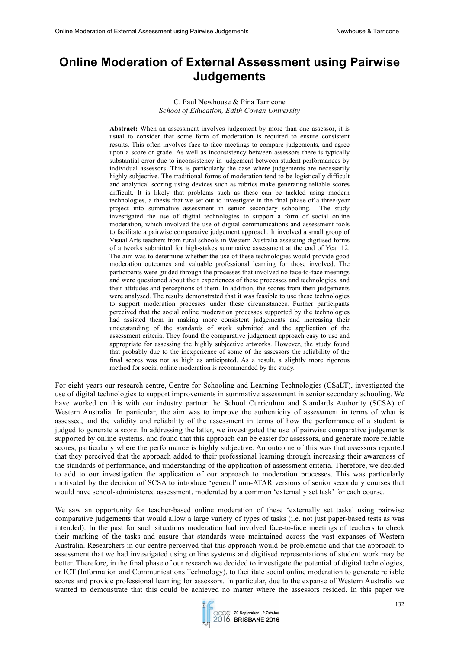## **Online Moderation of External Assessment using Pairwise Judgements**

#### C. Paul Newhouse & Pina Tarricone *School of Education, Edith Cowan University*

**Abstract:** When an assessment involves judgement by more than one assessor, it is usual to consider that some form of moderation is required to ensure consistent results. This often involves face-to-face meetings to compare judgements, and agree upon a score or grade. As well as inconsistency between assessors there is typically substantial error due to inconsistency in judgement between student performances by individual assessors. This is particularly the case where judgements are necessarily highly subjective. The traditional forms of moderation tend to be logistically difficult and analytical scoring using devices such as rubrics make generating reliable scores difficult. It is likely that problems such as these can be tackled using modern technologies, a thesis that we set out to investigate in the final phase of a three-year project into summative assessment in senior secondary schooling. The study investigated the use of digital technologies to support a form of social online moderation, which involved the use of digital communications and assessment tools to facilitate a pairwise comparative judgement approach. It involved a small group of Visual Arts teachers from rural schools in Western Australia assessing digitised forms of artworks submitted for high-stakes summative assessment at the end of Year 12. The aim was to determine whether the use of these technologies would provide good moderation outcomes and valuable professional learning for those involved. The participants were guided through the processes that involved no face-to-face meetings and were questioned about their experiences of these processes and technologies, and their attitudes and perceptions of them. In addition, the scores from their judgements were analysed. The results demonstrated that it was feasible to use these technologies to support moderation processes under these circumstances. Further participants perceived that the social online moderation processes supported by the technologies had assisted them in making more consistent judgements and increasing their understanding of the standards of work submitted and the application of the assessment criteria. They found the comparative judgement approach easy to use and appropriate for assessing the highly subjective artworks. However, the study found that probably due to the inexperience of some of the assessors the reliability of the final scores was not as high as anticipated. As a result, a slightly more rigorous method for social online moderation is recommended by the study.

For eight years our research centre, Centre for Schooling and Learning Technologies (CSaLT), investigated the use of digital technologies to support improvements in summative assessment in senior secondary schooling. We have worked on this with our industry partner the School Curriculum and Standards Authority (SCSA) of Western Australia. In particular, the aim was to improve the authenticity of assessment in terms of what is assessed, and the validity and reliability of the assessment in terms of how the performance of a student is judged to generate a score. In addressing the latter, we investigated the use of pairwise comparative judgements supported by online systems, and found that this approach can be easier for assessors, and generate more reliable scores, particularly where the performance is highly subjective. An outcome of this was that assessors reported that they perceived that the approach added to their professional learning through increasing their awareness of the standards of performance, and understanding of the application of assessment criteria. Therefore, we decided to add to our investigation the application of our approach to moderation processes. This was particularly motivated by the decision of SCSA to introduce 'general' non-ATAR versions of senior secondary courses that would have school-administered assessment, moderated by a common 'externally set task' for each course.

We saw an opportunity for teacher-based online moderation of these 'externally set tasks' using pairwise comparative judgements that would allow a large variety of types of tasks (i.e. not just paper-based tests as was intended). In the past for such situations moderation had involved face-to-face meetings of teachers to check their marking of the tasks and ensure that standards were maintained across the vast expanses of Western Australia. Researchers in our centre perceived that this approach would be problematic and that the approach to assessment that we had investigated using online systems and digitised representations of student work may be better. Therefore, in the final phase of our research we decided to investigate the potential of digital technologies, or ICT (Information and Communications Technology), to facilitate social online moderation to generate reliable scores and provide professional learning for assessors. In particular, due to the expanse of Western Australia we wanted to demonstrate that this could be achieved no matter where the assessors resided. In this paper we

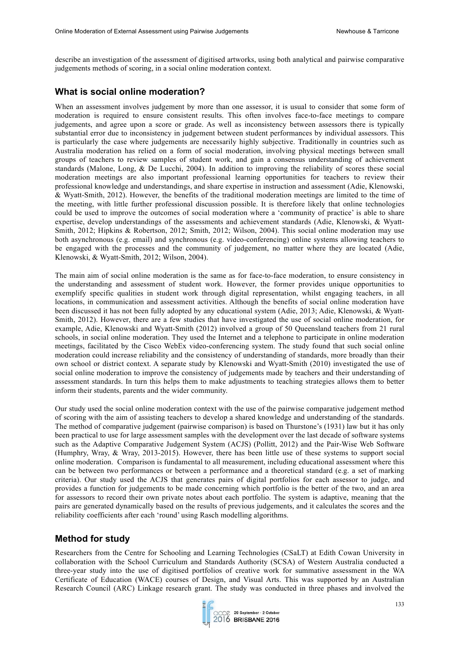describe an investigation of the assessment of digitised artworks, using both analytical and pairwise comparative judgements methods of scoring, in a social online moderation context.

## **What is social online moderation?**

When an assessment involves judgement by more than one assessor, it is usual to consider that some form of moderation is required to ensure consistent results. This often involves face-to-face meetings to compare judgements, and agree upon a score or grade. As well as inconsistency between assessors there is typically substantial error due to inconsistency in judgement between student performances by individual assessors. This is particularly the case where judgements are necessarily highly subjective. Traditionally in countries such as Australia moderation has relied on a form of social moderation, involving physical meetings between small groups of teachers to review samples of student work, and gain a consensus understanding of achievement standards (Malone, Long, & De Lucchi, 2004). In addition to improving the reliability of scores these social moderation meetings are also important professional learning opportunities for teachers to review their professional knowledge and understandings, and share expertise in instruction and assessment (Adie, Klenowski, & Wyatt-Smith, 2012). However, the benefits of the traditional moderation meetings are limited to the time of the meeting, with little further professional discussion possible. It is therefore likely that online technologies could be used to improve the outcomes of social moderation where a 'community of practice' is able to share expertise, develop understandings of the assessments and achievement standards (Adie, Klenowski, & Wyatt-Smith, 2012; Hipkins & Robertson, 2012; Smith, 2012; Wilson, 2004). This social online moderation may use both asynchronous (e.g. email) and synchronous (e.g. video-conferencing) online systems allowing teachers to be engaged with the processes and the community of judgement, no matter where they are located (Adie, Klenowski, & Wyatt-Smith, 2012; Wilson, 2004).

The main aim of social online moderation is the same as for face-to-face moderation, to ensure consistency in the understanding and assessment of student work. However, the former provides unique opportunities to exemplify specific qualities in student work through digital representation, whilst engaging teachers, in all locations, in communication and assessment activities. Although the benefits of social online moderation have been discussed it has not been fully adopted by any educational system (Adie, 2013; Adie, Klenowski, & Wyatt-Smith, 2012). However, there are a few studies that have investigated the use of social online moderation, for example, Adie, Klenowski and Wyatt-Smith (2012) involved a group of 50 Queensland teachers from 21 rural schools, in social online moderation. They used the Internet and a telephone to participate in online moderation meetings, facilitated by the Cisco WebEx video-conferencing system. The study found that such social online moderation could increase reliability and the consistency of understanding of standards, more broadly than their own school or district context. A separate study by Klenowski and Wyatt-Smith (2010) investigated the use of social online moderation to improve the consistency of judgements made by teachers and their understanding of assessment standards. In turn this helps them to make adjustments to teaching strategies allows them to better inform their students, parents and the wider community.

Our study used the social online moderation context with the use of the pairwise comparative judgement method of scoring with the aim of assisting teachers to develop a shared knowledge and understanding of the standards. The method of comparative judgement (pairwise comparison) is based on Thurstone's (1931) law but it has only been practical to use for large assessment samples with the development over the last decade of software systems such as the Adaptive Comparative Judgement System (ACJS) (Pollitt, 2012) and the Pair-Wise Web Software (Humphry, Wray, & Wray, 2013-2015). However, there has been little use of these systems to support social online moderation. Comparison is fundamental to all measurement, including educational assessment where this can be between two performances or between a performance and a theoretical standard (e.g. a set of marking criteria). Our study used the ACJS that generates pairs of digital portfolios for each assessor to judge, and provides a function for judgements to be made concerning which portfolio is the better of the two, and an area for assessors to record their own private notes about each portfolio. The system is adaptive, meaning that the pairs are generated dynamically based on the results of previous judgements, and it calculates the scores and the reliability coefficients after each 'round' using Rasch modelling algorithms.

### **Method for study**

Researchers from the Centre for Schooling and Learning Technologies (CSaLT) at Edith Cowan University in collaboration with the School Curriculum and Standards Authority (SCSA) of Western Australia conducted a three-year study into the use of digitised portfolios of creative work for summative assessment in the WA Certificate of Education (WACE) courses of Design, and Visual Arts. This was supported by an Australian Research Council (ARC) Linkage research grant. The study was conducted in three phases and involved the

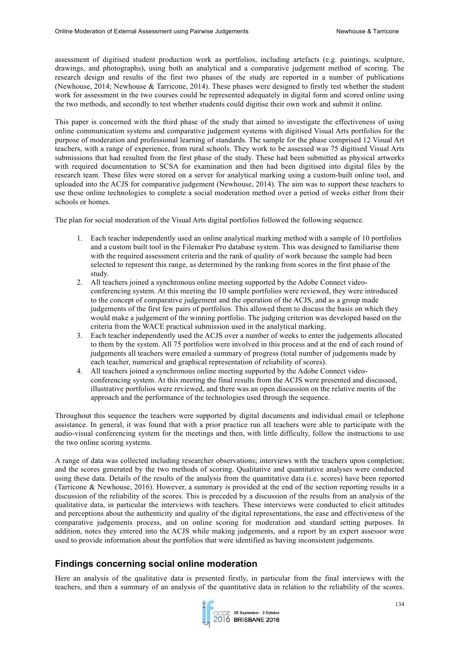assessment of digitised student production work as portfolios, including artefacts (e.g. paintings, sculpture, drawings, and photographs), using both an analytical and a comparative judgement method of scoring. The research design and results of the first two phases of the study are reported in a number of publications (Newhouse, 2014; Newhouse & Tarricone, 2014). These phases were designed to firstly test whether the student work for assessment in the two courses could be represented adequately in digital form and scored online using the two methods, and secondly to test whether students could digitise their own work and submit it online.

This paper is concerned with the third phase of the study that aimed to investigate the effectiveness of using online communication systems and comparative judgement systems with digitised Visual Arts portfolios for the purpose of moderation and professional learning of standards. The sample for the phase comprised 12 Visual Art teachers, with a range of experience, from rural schools. They work to be assessed was 75 digitised Visual Arts submissions that had resulted from the first phase of the study. These had been submitted as physical artworks with required documentation to SCSA for examination and then had been digitised into digital files by the research team. These files were stored on a server for analytical marking using a custom-built online tool, and uploaded into the ACJS for comparative judgement (Newhouse, 2014). The aim was to support these teachers to use these online technologies to complete a social moderation method over a period of weeks either from their schools or homes.

The plan for social moderation of the Visual Arts digital portfolios followed the following sequence.

- 1. Each teacher independently used an online analytical marking method with a sample of 10 portfolios and a custom built tool in the Filemaker Pro database system. This was designed to familiarise them with the required assessment criteria and the rank of quality of work because the sample had been selected to represent this range, as determined by the ranking from scores in the first phase of the study.
- 2. All teachers joined a synchronous online meeting supported by the Adobe Connect videoconferencing system. At this meeting the 10 sample portfolios were reviewed, they were introduced to the concept of comparative judgement and the operation of the ACJS, and as a group made judgements of the first few pairs of portfolios. This allowed them to discuss the basis on which they would make a judgement of the winning portfolio. The judging criterion was developed based on the criteria from the WACE practical submission used in the analytical marking.
- 3. Each teacher independently used the ACJS over a number of weeks to enter the judgements allocated to them by the system. All 75 portfolios were involved in this process and at the end of each round of judgements all teachers were emailed a summary of progress (total number of judgements made by each teacher, numerical and graphical representation of reliability of scores).
- 4. All teachers joined a synchronous online meeting supported by the Adobe Connect videoconferencing system. At this meeting the final results from the ACJS were presented and discussed, illustrative portfolios were reviewed, and there was an open discussion on the relative merits of the approach and the performance of the technologies used through the sequence.

Throughout this sequence the teachers were supported by digital documents and individual email or telephone assistance. In general, it was found that with a prior practice run all teachers were able to participate with the audio-visual conferencing system for the meetings and then, with little difficulty, follow the instructions to use the two online scoring systems.

A range of data was collected including researcher observations; interviews with the teachers upon completion; and the scores generated by the two methods of scoring. Qualitative and quantitative analyses were conducted using these data. Details of the results of the analysis from the quantitative data (i.e. scores) have been reported (Tarricone & Newhouse, 2016). However, a summary is provided at the end of the section reporting results in a discussion of the reliability of the scores. This is preceded by a discussion of the results from an analysis of the qualitative data, in particular the interviews with teachers. These interviews were conducted to elicit attitudes and perceptions about the authenticity and quality of the digital representations, the ease and effectiveness of the comparative judgements process, and on online scoring for moderation and standard setting purposes. In addition, notes they entered into the ACJS while making judgements, and a report by an expert assessor were used to provide information about the portfolios that were identified as having inconsistent judgements.

## **Findings concerning social online moderation**

Here an analysis of the qualitative data is presented firstly, in particular from the final interviews with the teachers, and then a summary of an analysis of the quantitative data in relation to the reliability of the scores.

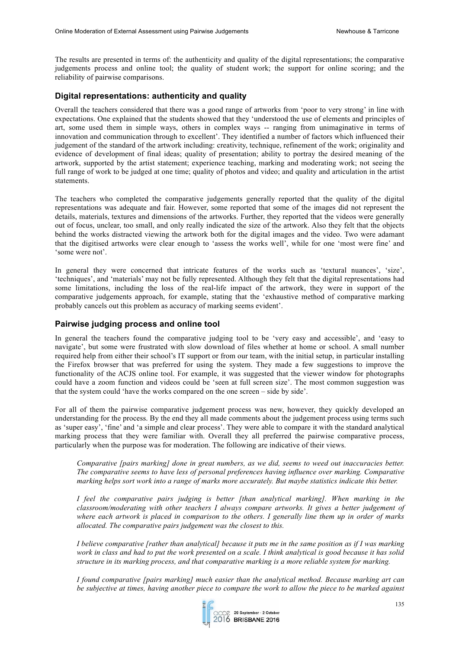The results are presented in terms of: the authenticity and quality of the digital representations; the comparative judgements process and online tool; the quality of student work; the support for online scoring; and the reliability of pairwise comparisons.

#### **Digital representations: authenticity and quality**

Overall the teachers considered that there was a good range of artworks from 'poor to very strong' in line with expectations. One explained that the students showed that they 'understood the use of elements and principles of art, some used them in simple ways, others in complex ways -- ranging from unimaginative in terms of innovation and communication through to excellent'. They identified a number of factors which influenced their judgement of the standard of the artwork including: creativity, technique, refinement of the work; originality and evidence of development of final ideas; quality of presentation; ability to portray the desired meaning of the artwork, supported by the artist statement; experience teaching, marking and moderating work; not seeing the full range of work to be judged at one time; quality of photos and video; and quality and articulation in the artist statements.

The teachers who completed the comparative judgements generally reported that the quality of the digital representations was adequate and fair. However, some reported that some of the images did not represent the details, materials, textures and dimensions of the artworks. Further, they reported that the videos were generally out of focus, unclear, too small, and only really indicated the size of the artwork. Also they felt that the objects behind the works distracted viewing the artwork both for the digital images and the video. Two were adamant that the digitised artworks were clear enough to 'assess the works well', while for one 'most were fine' and 'some were not'.

In general they were concerned that intricate features of the works such as 'textural nuances', 'size', 'techniques', and 'materials' may not be fully represented. Although they felt that the digital representations had some limitations, including the loss of the real-life impact of the artwork, they were in support of the comparative judgements approach, for example, stating that the 'exhaustive method of comparative marking probably cancels out this problem as accuracy of marking seems evident'.

#### **Pairwise judging process and online tool**

In general the teachers found the comparative judging tool to be 'very easy and accessible', and 'easy to navigate', but some were frustrated with slow download of files whether at home or school. A small number required help from either their school's IT support or from our team, with the initial setup, in particular installing the Firefox browser that was preferred for using the system. They made a few suggestions to improve the functionality of the ACJS online tool. For example, it was suggested that the viewer window for photographs could have a zoom function and videos could be 'seen at full screen size'. The most common suggestion was that the system could 'have the works compared on the one screen – side by side'.

For all of them the pairwise comparative judgement process was new, however, they quickly developed an understanding for the process. By the end they all made comments about the judgement process using terms such as 'super easy', 'fine' and 'a simple and clear process'. They were able to compare it with the standard analytical marking process that they were familiar with. Overall they all preferred the pairwise comparative process, particularly when the purpose was for moderation. The following are indicative of their views.

*Comparative [pairs marking] done in great numbers, as we did, seems to weed out inaccuracies better. The comparative seems to have less of personal preferences having influence over marking. Comparative marking helps sort work into a range of marks more accurately. But maybe statistics indicate this better.*

*I feel the comparative pairs judging is better [than analytical marking]. When marking in the classroom/moderating with other teachers I always compare artworks. It gives a better judgement of where each artwork is placed in comparison to the others. I generally line them up in order of marks allocated. The comparative pairs judgement was the closest to this.* 

*I believe comparative [rather than analytical] because it puts me in the same position as if I was marking work in class and had to put the work presented on a scale. I think analytical is good because it has solid structure in its marking process, and that comparative marking is a more reliable system for marking.*

*I found comparative [pairs marking] much easier than the analytical method. Because marking art can be subjective at times, having another piece to compare the work to allow the piece to be marked against* 

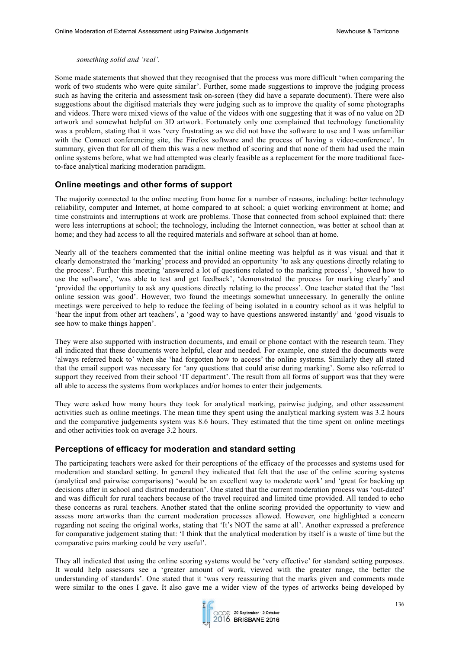#### *something solid and 'real'.*

Some made statements that showed that they recognised that the process was more difficult 'when comparing the work of two students who were quite similar'. Further, some made suggestions to improve the judging process such as having the criteria and assessment task on-screen (they did have a separate document). There were also suggestions about the digitised materials they were judging such as to improve the quality of some photographs and videos. There were mixed views of the value of the videos with one suggesting that it was of no value on 2D artwork and somewhat helpful on 3D artwork. Fortunately only one complained that technology functionality was a problem, stating that it was 'very frustrating as we did not have the software to use and I was unfamiliar with the Connect conferencing site, the Firefox software and the process of having a video-conference'. In summary, given that for all of them this was a new method of scoring and that none of them had used the main online systems before, what we had attempted was clearly feasible as a replacement for the more traditional faceto-face analytical marking moderation paradigm.

#### **Online meetings and other forms of support**

The majority connected to the online meeting from home for a number of reasons, including: better technology reliability, computer and Internet, at home compared to at school; a quiet working environment at home; and time constraints and interruptions at work are problems. Those that connected from school explained that: there were less interruptions at school; the technology, including the Internet connection, was better at school than at home; and they had access to all the required materials and software at school than at home.

Nearly all of the teachers commented that the initial online meeting was helpful as it was visual and that it clearly demonstrated the 'marking' process and provided an opportunity 'to ask any questions directly relating to the process'. Further this meeting 'answered a lot of questions related to the marking process', 'showed how to use the software', 'was able to test and get feedback', 'demonstrated the process for marking clearly' and 'provided the opportunity to ask any questions directly relating to the process'. One teacher stated that the 'last online session was good'. However, two found the meetings somewhat unnecessary. In generally the online meetings were perceived to help to reduce the feeling of being isolated in a country school as it was helpful to 'hear the input from other art teachers', a 'good way to have questions answered instantly' and 'good visuals to see how to make things happen'.

They were also supported with instruction documents, and email or phone contact with the research team. They all indicated that these documents were helpful, clear and needed. For example, one stated the documents were 'always referred back to' when she 'had forgotten how to access' the online systems. Similarly they all stated that the email support was necessary for 'any questions that could arise during marking'. Some also referred to support they received from their school 'IT department'. The result from all forms of support was that they were all able to access the systems from workplaces and/or homes to enter their judgements.

They were asked how many hours they took for analytical marking, pairwise judging, and other assessment activities such as online meetings. The mean time they spent using the analytical marking system was 3.2 hours and the comparative judgements system was 8.6 hours. They estimated that the time spent on online meetings and other activities took on average 3.2 hours.

#### **Perceptions of efficacy for moderation and standard setting**

The participating teachers were asked for their perceptions of the efficacy of the processes and systems used for moderation and standard setting. In general they indicated that felt that the use of the online scoring systems (analytical and pairwise comparisons) 'would be an excellent way to moderate work' and 'great for backing up decisions after in school and district moderation'. One stated that the current moderation process was 'out-dated' and was difficult for rural teachers because of the travel required and limited time provided. All tended to echo these concerns as rural teachers. Another stated that the online scoring provided the opportunity to view and assess more artworks than the current moderation processes allowed. However, one highlighted a concern regarding not seeing the original works, stating that 'It's NOT the same at all'. Another expressed a preference for comparative judgement stating that: 'I think that the analytical moderation by itself is a waste of time but the comparative pairs marking could be very useful'.

They all indicated that using the online scoring systems would be 'very effective' for standard setting purposes. It would help assessors see a 'greater amount of work, viewed with the greater range, the better the understanding of standards'. One stated that it 'was very reassuring that the marks given and comments made were similar to the ones I gave. It also gave me a wider view of the types of artworks being developed by

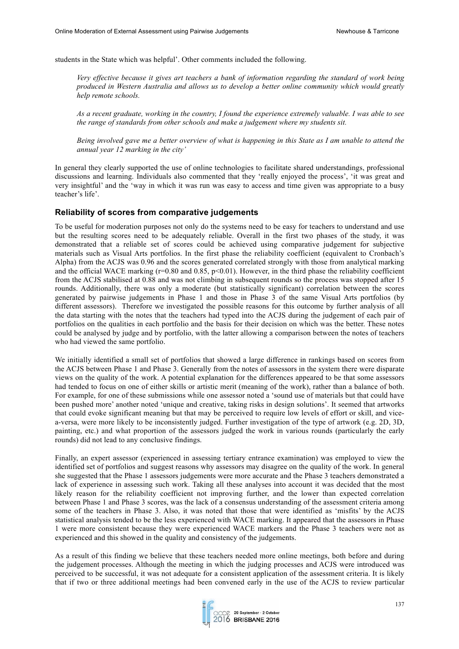students in the State which was helpful'. Other comments included the following.

*Very effective because it gives art teachers a bank of information regarding the standard of work being produced in Western Australia and allows us to develop a better online community which would greatly help remote schools.*

*As a recent graduate, working in the country, I found the experience extremely valuable. I was able to see the range of standards from other schools and make a judgement where my students sit.*

*Being involved gave me a better overview of what is happening in this State as I am unable to attend the annual year 12 marking in the city'*

In general they clearly supported the use of online technologies to facilitate shared understandings, professional discussions and learning. Individuals also commented that they 'really enjoyed the process', 'it was great and very insightful' and the 'way in which it was run was easy to access and time given was appropriate to a busy teacher's life'.

#### **Reliability of scores from comparative judgements**

To be useful for moderation purposes not only do the systems need to be easy for teachers to understand and use but the resulting scores need to be adequately reliable. Overall in the first two phases of the study, it was demonstrated that a reliable set of scores could be achieved using comparative judgement for subjective materials such as Visual Arts portfolios. In the first phase the reliability coefficient (equivalent to Cronbach's Alpha) from the ACJS was 0.96 and the scores generated correlated strongly with those from analytical marking and the official WACE marking ( $r=0.80$  and 0.85,  $p<0.01$ ). However, in the third phase the reliability coefficient from the ACJS stabilised at 0.88 and was not climbing in subsequent rounds so the process was stopped after 15 rounds. Additionally, there was only a moderate (but statistically significant) correlation between the scores generated by pairwise judgements in Phase 1 and those in Phase 3 of the same Visual Arts portfolios (by different assessors). Therefore we investigated the possible reasons for this outcome by further analysis of all the data starting with the notes that the teachers had typed into the ACJS during the judgement of each pair of portfolios on the qualities in each portfolio and the basis for their decision on which was the better. These notes could be analysed by judge and by portfolio, with the latter allowing a comparison between the notes of teachers who had viewed the same portfolio.

We initially identified a small set of portfolios that showed a large difference in rankings based on scores from the ACJS between Phase 1 and Phase 3. Generally from the notes of assessors in the system there were disparate views on the quality of the work. A potential explanation for the differences appeared to be that some assessors had tended to focus on one of either skills or artistic merit (meaning of the work), rather than a balance of both. For example, for one of these submissions while one assessor noted a 'sound use of materials but that could have been pushed more' another noted 'unique and creative, taking risks in design solutions'. It seemed that artworks that could evoke significant meaning but that may be perceived to require low levels of effort or skill, and vicea-versa, were more likely to be inconsistently judged. Further investigation of the type of artwork (e.g. 2D, 3D, painting, etc.) and what proportion of the assessors judged the work in various rounds (particularly the early rounds) did not lead to any conclusive findings.

Finally, an expert assessor (experienced in assessing tertiary entrance examination) was employed to view the identified set of portfolios and suggest reasons why assessors may disagree on the quality of the work. In general she suggested that the Phase 1 assessors judgements were more accurate and the Phase 3 teachers demonstrated a lack of experience in assessing such work. Taking all these analyses into account it was decided that the most likely reason for the reliability coefficient not improving further, and the lower than expected correlation between Phase 1 and Phase 3 scores, was the lack of a consensus understanding of the assessment criteria among some of the teachers in Phase 3. Also, it was noted that those that were identified as 'misfits' by the ACJS statistical analysis tended to be the less experienced with WACE marking. It appeared that the assessors in Phase 1 were more consistent because they were experienced WACE markers and the Phase 3 teachers were not as experienced and this showed in the quality and consistency of the judgements.

As a result of this finding we believe that these teachers needed more online meetings, both before and during the judgement processes. Although the meeting in which the judging processes and ACJS were introduced was perceived to be successful, it was not adequate for a consistent application of the assessment criteria. It is likely that if two or three additional meetings had been convened early in the use of the ACJS to review particular

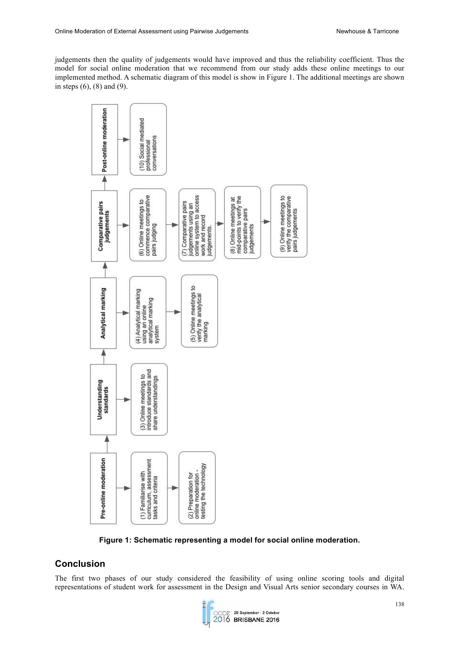judgements then the quality of judgements would have improved and thus the reliability coefficient. Thus the model for social online moderation that we recommend from our study adds these online meetings to our implemented method. A schematic diagram of this model is show in Figure 1. The additional meetings are shown in steps (6), (8) and (9).



**Figure 1: Schematic representing a model for social online moderation.**

## **Conclusion**

The first two phases of our study considered the feasibility of using online scoring tools and digital representations of student work for assessment in the Design and Visual Arts senior secondary courses in WA.